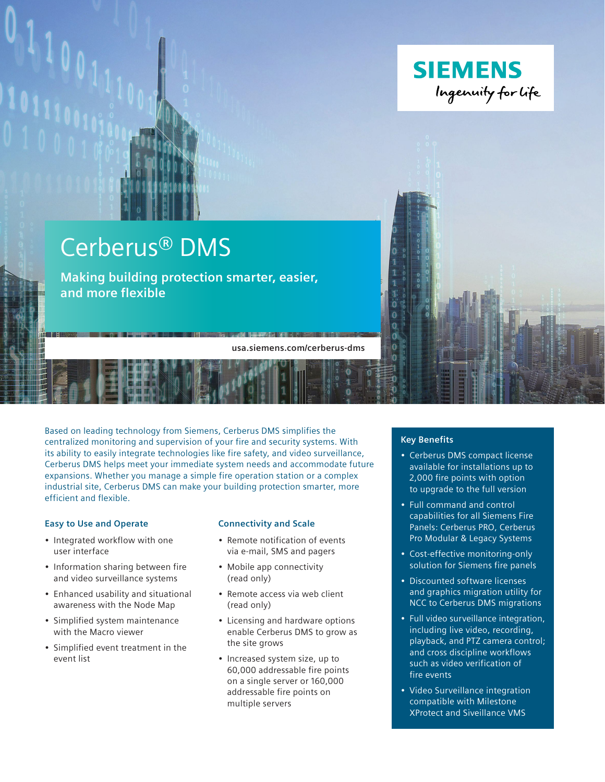

# Cerberus® DMS

**Making building protection smarter, easier, and more flexible**

**usa.siemens.com/cerberus-dms**

**THE ELECTRIC REPORTS** 

Based on leading technology from Siemens, Cerberus DMS simplifies the centralized monitoring and supervision of your fire and security systems. With its ability to easily integrate technologies like fire safety, and video surveillance, Cerberus DMS helps meet your immediate system needs and accommodate future expansions. Whether you manage a simple fire operation station or a complex industrial site, Cerberus DMS can make your building protection smarter, more efficient and flexible.

#### **Easy to Use and Operate**

- Integrated workflow with one user interface
- Information sharing between fire and video surveillance systems
- Enhanced usability and situational awareness with the Node Map
- Simplified system maintenance with the Macro viewer
- Simplified event treatment in the event list

#### **Connectivity and Scale**

- Remote notification of events via e-mail, SMS and pagers
- Mobile app connectivity (read only)
- Remote access via web client (read only)
- Licensing and hardware options enable Cerberus DMS to grow as the site grows
- Increased system size, up to 60,000 addressable fire points on a single server or 160,000 addressable fire points on multiple servers

### **Key Benefits**

 $\ddot{\mathbf{0}}$ o

 $\overline{0}$  $\overline{0}$ 'n

- Cerberus DMS compact license available for installations up to 2,000 fire points with option to upgrade to the full version
- Full command and control capabilities for all Siemens Fire Panels: Cerberus PRO, Cerberus Pro Modular & Legacy Systems
- Cost-effective monitoring-only solution for Siemens fire panels
- Discounted software licenses and graphics migration utility for NCC to Cerberus DMS migrations
- Full video surveillance integration, including live video, recording, playback, and PTZ camera control; and cross discipline workflows such as video verification of fire events
- Video Surveillance integration compatible with Milestone XProtect and Siveillance VMS